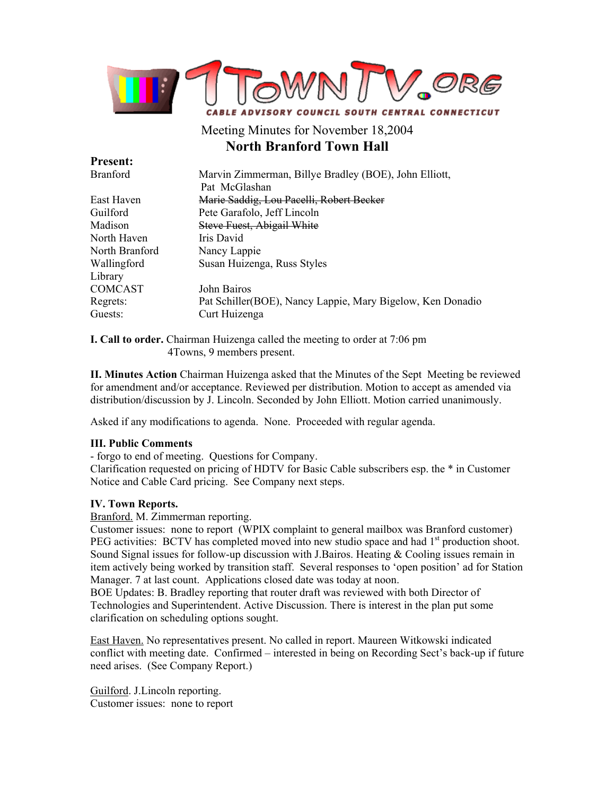

# Meeting Minutes for November 18,2004 **North Branford Town Hall**

| <b>Present:</b> |                                                             |
|-----------------|-------------------------------------------------------------|
| <b>Branford</b> | Marvin Zimmerman, Billye Bradley (BOE), John Elliott,       |
|                 | Pat McGlashan                                               |
| East Haven      | Marie Saddig, Lou Pacelli, Robert Becker                    |
| Guilford        | Pete Garafolo, Jeff Lincoln                                 |
| Madison         | <b>Steve Fuest, Abigail White</b>                           |
| North Haven     | Iris David                                                  |
| North Branford  | Nancy Lappie                                                |
| Wallingford     | Susan Huizenga, Russ Styles                                 |
| Library         |                                                             |
| <b>COMCAST</b>  | John Bairos                                                 |
| Regrets:        | Pat Schiller (BOE), Nancy Lappie, Mary Bigelow, Ken Donadio |
| Guests:         | Curt Huizenga                                               |

**I. Call to order.** Chairman Huizenga called the meeting to order at 7:06 pm 4Towns, 9 members present.

**II. Minutes Action** Chairman Huizenga asked that the Minutes of the Sept Meeting be reviewed for amendment and/or acceptance. Reviewed per distribution. Motion to accept as amended via distribution/discussion by J. Lincoln. Seconded by John Elliott. Motion carried unanimously.

Asked if any modifications to agenda. None. Proceeded with regular agenda.

#### **III. Public Comments**

- forgo to end of meeting. Questions for Company.

Clarification requested on pricing of HDTV for Basic Cable subscribers esp. the \* in Customer Notice and Cable Card pricing. See Company next steps.

#### **IV. Town Reports.**

Branford. M. Zimmerman reporting.

Customer issues: none to report (WPIX complaint to general mailbox was Branford customer) PEG activities: BCTV has completed moved into new studio space and had 1<sup>st</sup> production shoot. Sound Signal issues for follow-up discussion with J.Bairos. Heating  $&$  Cooling issues remain in item actively being worked by transition staff. Several responses to 'open position' ad for Station Manager. 7 at last count. Applications closed date was today at noon.

BOE Updates: B. Bradley reporting that router draft was reviewed with both Director of Technologies and Superintendent. Active Discussion. There is interest in the plan put some clarification on scheduling options sought.

East Haven. No representatives present. No called in report. Maureen Witkowski indicated conflict with meeting date. Confirmed – interested in being on Recording Sect's back-up if future need arises. (See Company Report.)

Guilford. J.Lincoln reporting. Customer issues: none to report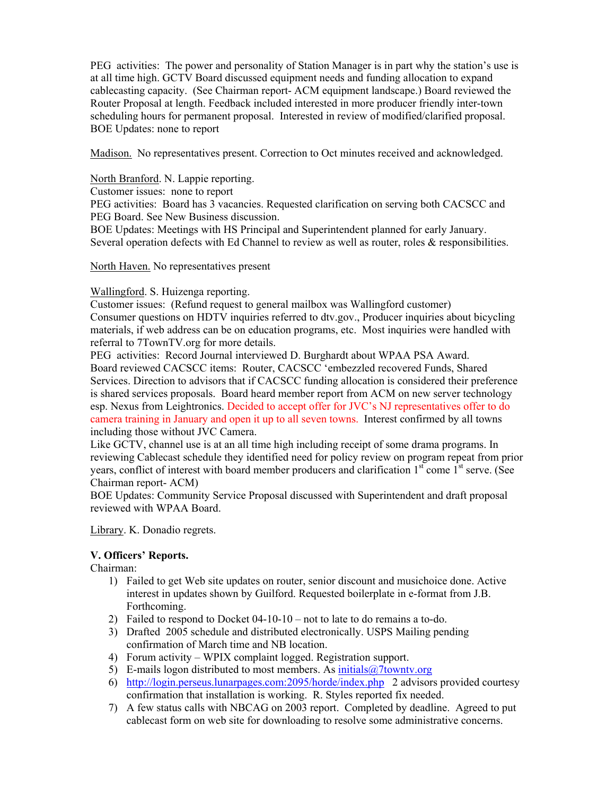PEG activities: The power and personality of Station Manager is in part why the station's use is at all time high. GCTV Board discussed equipment needs and funding allocation to expand cablecasting capacity. (See Chairman report- ACM equipment landscape.) Board reviewed the Router Proposal at length. Feedback included interested in more producer friendly inter-town scheduling hours for permanent proposal. Interested in review of modified/clarified proposal. BOE Updates: none to report

Madison. No representatives present. Correction to Oct minutes received and acknowledged.

North Branford. N. Lappie reporting.

Customer issues: none to report

PEG activities: Board has 3 vacancies. Requested clarification on serving both CACSCC and PEG Board. See New Business discussion.

BOE Updates: Meetings with HS Principal and Superintendent planned for early January. Several operation defects with Ed Channel to review as well as router, roles & responsibilities.

North Haven. No representatives present

# Wallingford. S. Huizenga reporting.

Customer issues: (Refund request to general mailbox was Wallingford customer) Consumer questions on HDTV inquiries referred to dtv.gov., Producer inquiries about bicycling materials, if web address can be on education programs, etc. Most inquiries were handled with referral to 7TownTV.org for more details.

PEG activities: Record Journal interviewed D. Burghardt about WPAA PSA Award. Board reviewed CACSCC items: Router, CACSCC 'embezzled recovered Funds, Shared Services. Direction to advisors that if CACSCC funding allocation is considered their preference is shared services proposals. Board heard member report from ACM on new server technology esp. Nexus from Leightronics. Decided to accept offer for JVC's NJ representatives offer to do camera training in January and open it up to all seven towns. Interest confirmed by all towns including those without JVC Camera.

Like GCTV, channel use is at an all time high including receipt of some drama programs. In reviewing Cablecast schedule they identified need for policy review on program repeat from prior years, conflict of interest with board member producers and clarification  $1<sup>st</sup>$  come  $1<sup>st</sup>$  serve. (See Chairman report- ACM)

BOE Updates: Community Service Proposal discussed with Superintendent and draft proposal reviewed with WPAA Board.

Library. K. Donadio regrets.

# **V. Officers' Reports.**

Chairman:

- 1) Failed to get Web site updates on router, senior discount and musichoice done. Active interest in updates shown by Guilford. Requested boilerplate in e-format from J.B. Forthcoming.
- 2) Failed to respond to Docket 04-10-10 not to late to do remains a to-do.
- 3) Drafted 2005 schedule and distributed electronically. USPS Mailing pending confirmation of March time and NB location.
- 4) Forum activity WPIX complaint logged. Registration support.
- 5) E-mails logon distributed to most members. As initials  $\omega$ 7 towntv.org
- 6) http://login.perseus.lunarpages.com:2095/horde/index.php 2 advisors provided courtesy confirmation that installation is working. R. Styles reported fix needed.
- 7) A few status calls with NBCAG on 2003 report. Completed by deadline. Agreed to put cablecast form on web site for downloading to resolve some administrative concerns.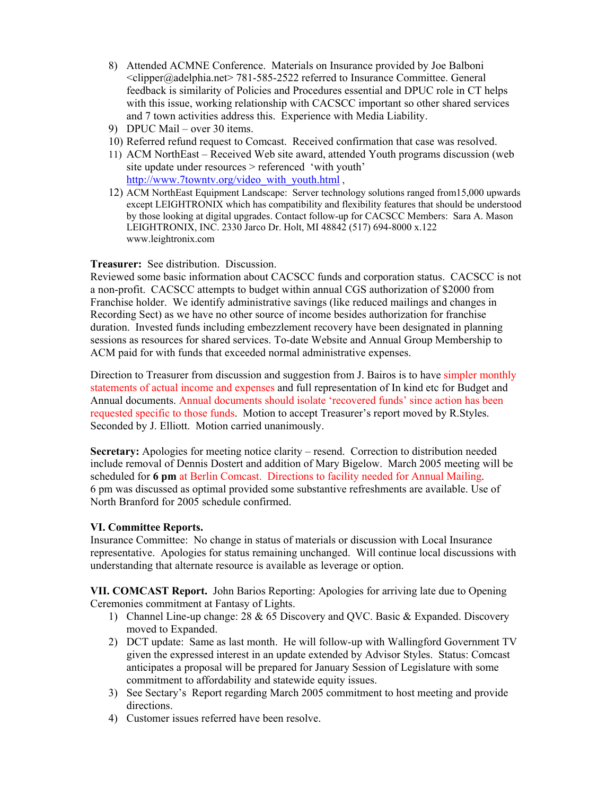- 8) Attended ACMNE Conference. Materials on Insurance provided by Joe Balboni <clipper@adelphia.net> 781-585-2522 referred to Insurance Committee. General feedback is similarity of Policies and Procedures essential and DPUC role in CT helps with this issue, working relationship with CACSCC important so other shared services and 7 town activities address this. Experience with Media Liability.
- 9) DPUC Mail over 30 items.
- 10) Referred refund request to Comcast. Received confirmation that case was resolved.
- 11) ACM NorthEast Received Web site award, attended Youth programs discussion (web site update under resources > referenced 'with youth' http://www.7towntv.org/video\_with\_youth.html,
- 12) ACM NorthEast Equipment Landscape: Server technology solutions ranged from15,000 upwards except LEIGHTRONIX which has compatibility and flexibility features that should be understood by those looking at digital upgrades. Contact follow-up for CACSCC Members: Sara A. Mason LEIGHTRONIX, INC. 2330 Jarco Dr. Holt, MI 48842 (517) 694-8000 x.122 www.leightronix.com

#### **Treasurer:** See distribution. Discussion.

Reviewed some basic information about CACSCC funds and corporation status. CACSCC is not a non-profit. CACSCC attempts to budget within annual CGS authorization of \$2000 from Franchise holder. We identify administrative savings (like reduced mailings and changes in Recording Sect) as we have no other source of income besides authorization for franchise duration. Invested funds including embezzlement recovery have been designated in planning sessions as resources for shared services. To-date Website and Annual Group Membership to ACM paid for with funds that exceeded normal administrative expenses.

Direction to Treasurer from discussion and suggestion from J. Bairos is to have simpler monthly statements of actual income and expenses and full representation of In kind etc for Budget and Annual documents. Annual documents should isolate 'recovered funds' since action has been requested specific to those funds. Motion to accept Treasurer's report moved by R.Styles. Seconded by J. Elliott. Motion carried unanimously.

**Secretary:** Apologies for meeting notice clarity – resend. Correction to distribution needed include removal of Dennis Dostert and addition of Mary Bigelow. March 2005 meeting will be scheduled for **6 pm** at Berlin Comcast. Directions to facility needed for Annual Mailing. 6 pm was discussed as optimal provided some substantive refreshments are available. Use of North Branford for 2005 schedule confirmed.

#### **VI. Committee Reports.**

Insurance Committee: No change in status of materials or discussion with Local Insurance representative. Apologies for status remaining unchanged. Will continue local discussions with understanding that alternate resource is available as leverage or option.

**VII. COMCAST Report.** John Barios Reporting: Apologies for arriving late due to Opening Ceremonies commitment at Fantasy of Lights.

- 1) Channel Line-up change: 28 & 65 Discovery and QVC. Basic & Expanded. Discovery moved to Expanded.
- 2) DCT update: Same as last month. He will follow-up with Wallingford Government TV given the expressed interest in an update extended by Advisor Styles. Status: Comcast anticipates a proposal will be prepared for January Session of Legislature with some commitment to affordability and statewide equity issues.
- 3) See Sectary's Report regarding March 2005 commitment to host meeting and provide directions.
- 4) Customer issues referred have been resolve.